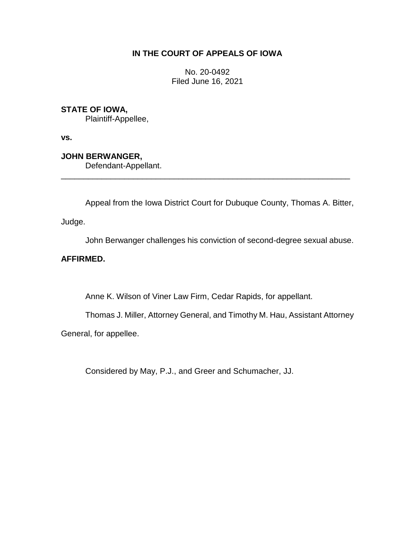## **IN THE COURT OF APPEALS OF IOWA**

No. 20-0492 Filed June 16, 2021

## **STATE OF IOWA,**

Plaintiff-Appellee,

**vs.**

# **JOHN BERWANGER,**

Defendant-Appellant.

Appeal from the Iowa District Court for Dubuque County, Thomas A. Bitter,

\_\_\_\_\_\_\_\_\_\_\_\_\_\_\_\_\_\_\_\_\_\_\_\_\_\_\_\_\_\_\_\_\_\_\_\_\_\_\_\_\_\_\_\_\_\_\_\_\_\_\_\_\_\_\_\_\_\_\_\_\_\_\_\_

Judge.

John Berwanger challenges his conviction of second-degree sexual abuse.

## **AFFIRMED.**

Anne K. Wilson of Viner Law Firm, Cedar Rapids, for appellant.

Thomas J. Miller, Attorney General, and Timothy M. Hau, Assistant Attorney

General, for appellee.

Considered by May, P.J., and Greer and Schumacher, JJ.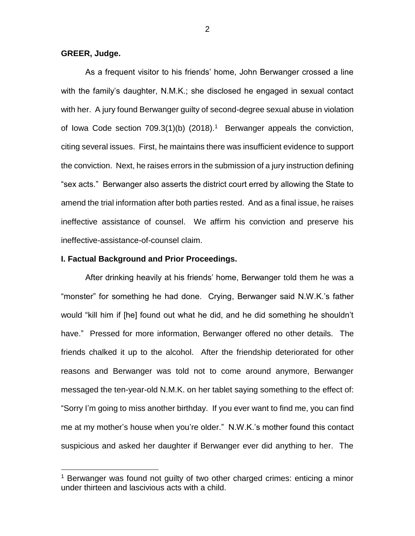**GREER, Judge.**

 $\overline{a}$ 

As a frequent visitor to his friends' home, John Berwanger crossed a line with the family's daughter, N.M.K.; she disclosed he engaged in sexual contact with her. A jury found Berwanger guilty of second-degree sexual abuse in violation of lowa Code section  $709.3(1)(b)$  (2018).<sup>1</sup> Berwanger appeals the conviction, citing several issues. First, he maintains there was insufficient evidence to support the conviction. Next, he raises errors in the submission of a jury instruction defining "sex acts." Berwanger also asserts the district court erred by allowing the State to amend the trial information after both parties rested. And as a final issue, he raises ineffective assistance of counsel. We affirm his conviction and preserve his ineffective-assistance-of-counsel claim.

### **I. Factual Background and Prior Proceedings.**

After drinking heavily at his friends' home, Berwanger told them he was a "monster" for something he had done. Crying, Berwanger said N.W.K.'s father would "kill him if [he] found out what he did, and he did something he shouldn't have." Pressed for more information, Berwanger offered no other details. The friends chalked it up to the alcohol. After the friendship deteriorated for other reasons and Berwanger was told not to come around anymore, Berwanger messaged the ten-year-old N.M.K. on her tablet saying something to the effect of: "Sorry I'm going to miss another birthday. If you ever want to find me, you can find me at my mother's house when you're older." N.W.K.'s mother found this contact suspicious and asked her daughter if Berwanger ever did anything to her. The

<sup>&</sup>lt;sup>1</sup> Berwanger was found not guilty of two other charged crimes: enticing a minor under thirteen and lascivious acts with a child.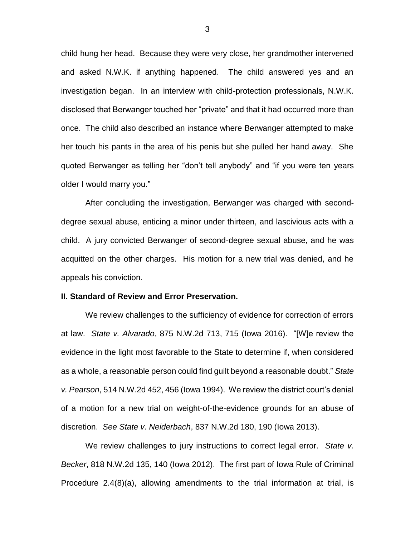child hung her head. Because they were very close, her grandmother intervened and asked N.W.K. if anything happened. The child answered yes and an investigation began. In an interview with child-protection professionals, N.W.K. disclosed that Berwanger touched her "private" and that it had occurred more than once. The child also described an instance where Berwanger attempted to make her touch his pants in the area of his penis but she pulled her hand away. She quoted Berwanger as telling her "don't tell anybody" and "if you were ten years older I would marry you."

After concluding the investigation, Berwanger was charged with seconddegree sexual abuse, enticing a minor under thirteen, and lascivious acts with a child. A jury convicted Berwanger of second-degree sexual abuse, and he was acquitted on the other charges. His motion for a new trial was denied, and he appeals his conviction.

#### **II. Standard of Review and Error Preservation.**

We review challenges to the sufficiency of evidence for correction of errors at law. *State v. Alvarado*, 875 N.W.2d 713, 715 (Iowa 2016). "[W]e review the evidence in the light most favorable to the State to determine if, when considered as a whole, a reasonable person could find guilt beyond a reasonable doubt." *State v. Pearson*, 514 N.W.2d 452, 456 (Iowa 1994). We review the district court's denial of a motion for a new trial on weight-of-the-evidence grounds for an abuse of discretion. *See State v. Neiderbach*, 837 N.W.2d 180, 190 (Iowa 2013).

We review challenges to jury instructions to correct legal error. *State v. Becker*, 818 N.W.2d 135, 140 (Iowa 2012). The first part of Iowa Rule of Criminal Procedure 2.4(8)(a), allowing amendments to the trial information at trial, is

3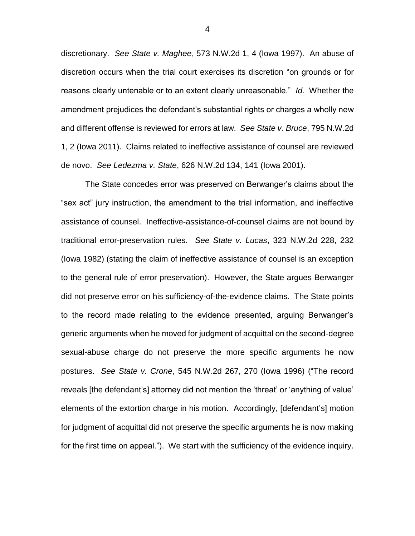discretionary. *See State v. Maghee*, 573 N.W.2d 1, 4 (Iowa 1997). An abuse of discretion occurs when the trial court exercises its discretion "on grounds or for reasons clearly untenable or to an extent clearly unreasonable." *Id.* Whether the amendment prejudices the defendant's substantial rights or charges a wholly new and different offense is reviewed for errors at law. *See State v. Bruce*, 795 N.W.2d 1, 2 (Iowa 2011). Claims related to ineffective assistance of counsel are reviewed de novo. *See Ledezma v. State*, 626 N.W.2d 134, 141 (Iowa 2001).

The State concedes error was preserved on Berwanger's claims about the "sex act" jury instruction, the amendment to the trial information, and ineffective assistance of counsel. Ineffective-assistance-of-counsel claims are not bound by traditional error-preservation rules. *See State v. Lucas*, 323 N.W.2d 228, 232 (Iowa 1982) (stating the claim of ineffective assistance of counsel is an exception to the general rule of error preservation). However, the State argues Berwanger did not preserve error on his sufficiency-of-the-evidence claims. The State points to the record made relating to the evidence presented, arguing Berwanger's generic arguments when he moved for judgment of acquittal on the second-degree sexual-abuse charge do not preserve the more specific arguments he now postures. *See State v. Crone*, 545 N.W.2d 267, 270 (Iowa 1996) ("The record reveals [the defendant's] attorney did not mention the 'threat' or 'anything of value' elements of the extortion charge in his motion. Accordingly, [defendant's] motion for judgment of acquittal did not preserve the specific arguments he is now making for the first time on appeal."). We start with the sufficiency of the evidence inquiry.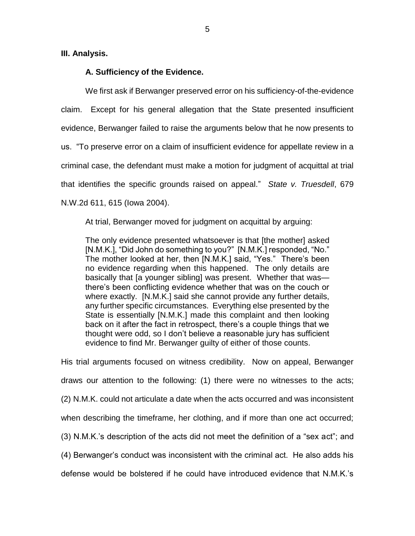### **III. Analysis.**

### **A. Sufficiency of the Evidence.**

We first ask if Berwanger preserved error on his sufficiency-of-the-evidence claim. Except for his general allegation that the State presented insufficient evidence, Berwanger failed to raise the arguments below that he now presents to us. "To preserve error on a claim of insufficient evidence for appellate review in a criminal case, the defendant must make a motion for judgment of acquittal at trial that identifies the specific grounds raised on appeal." *State v. Truesdell*, 679 N.W.2d 611, 615 (Iowa 2004).

At trial, Berwanger moved for judgment on acquittal by arguing:

The only evidence presented whatsoever is that [the mother] asked [N.M.K.], "Did John do something to you?" [N.M.K.] responded, "No." The mother looked at her, then [N.M.K.] said, "Yes." There's been no evidence regarding when this happened. The only details are basically that [a younger sibling] was present. Whether that was there's been conflicting evidence whether that was on the couch or where exactly. [N.M.K.] said she cannot provide any further details, any further specific circumstances. Everything else presented by the State is essentially [N.M.K.] made this complaint and then looking back on it after the fact in retrospect, there's a couple things that we thought were odd, so I don't believe a reasonable jury has sufficient evidence to find Mr. Berwanger guilty of either of those counts.

His trial arguments focused on witness credibility. Now on appeal, Berwanger draws our attention to the following: (1) there were no witnesses to the acts; (2) N.M.K. could not articulate a date when the acts occurred and was inconsistent when describing the timeframe, her clothing, and if more than one act occurred; (3) N.M.K.'s description of the acts did not meet the definition of a "sex act"; and (4) Berwanger's conduct was inconsistent with the criminal act. He also adds his defense would be bolstered if he could have introduced evidence that N.M.K.'s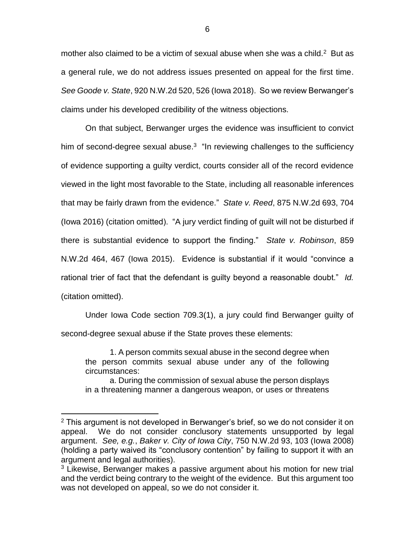mother also claimed to be a victim of sexual abuse when she was a child. $2$  But as a general rule, we do not address issues presented on appeal for the first time. *See Goode v. State*, 920 N.W.2d 520, 526 (Iowa 2018). So we review Berwanger's claims under his developed credibility of the witness objections.

On that subject, Berwanger urges the evidence was insufficient to convict him of second-degree sexual abuse. $3$  "In reviewing challenges to the sufficiency of evidence supporting a guilty verdict, courts consider all of the record evidence viewed in the light most favorable to the State, including all reasonable inferences that may be fairly drawn from the evidence." *State v. Reed*, 875 N.W.2d 693, 704 (Iowa 2016) (citation omitted). "A jury verdict finding of guilt will not be disturbed if there is substantial evidence to support the finding." *State v. Robinson*, 859 N.W.2d 464, 467 (Iowa 2015). Evidence is substantial if it would "convince a rational trier of fact that the defendant is guilty beyond a reasonable doubt." *Id.* (citation omitted).

Under Iowa Code section 709.3(1), a jury could find Berwanger guilty of second-degree sexual abuse if the State proves these elements:

1. A person commits sexual abuse in the second degree when the person commits sexual abuse under any of the following circumstances:

a. During the commission of sexual abuse the person displays in a threatening manner a dangerous weapon, or uses or threatens

 $2$  This argument is not developed in Berwanger's brief, so we do not consider it on appeal. We do not consider conclusory statements unsupported by legal argument. *See, e.g.*, *Baker v. City of Iowa City*, 750 N.W.2d 93, 103 (Iowa 2008) (holding a party waived its "conclusory contention" by failing to support it with an argument and legal authorities).

<sup>&</sup>lt;sup>3</sup> Likewise, Berwanger makes a passive argument about his motion for new trial and the verdict being contrary to the weight of the evidence. But this argument too was not developed on appeal, so we do not consider it.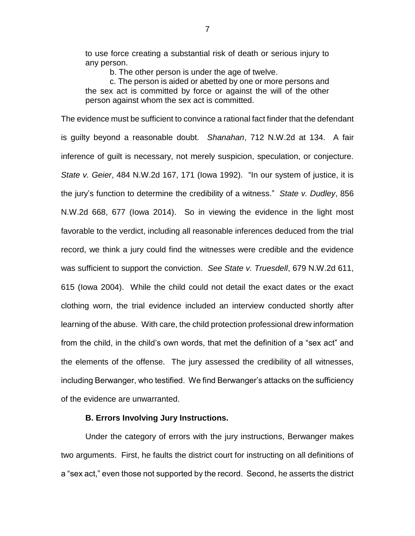to use force creating a substantial risk of death or serious injury to any person.

b. The other person is under the age of twelve.

c. The person is aided or abetted by one or more persons and the sex act is committed by force or against the will of the other person against whom the sex act is committed.

The evidence must be sufficient to convince a rational fact finder that the defendant is guilty beyond a reasonable doubt. *Shanahan*, 712 N.W.2d at 134. A fair inference of guilt is necessary, not merely suspicion, speculation, or conjecture. *State v. Geier*, 484 N.W.2d 167, 171 (Iowa 1992). "In our system of justice, it is the jury's function to determine the credibility of a witness." *State v. Dudley*, 856 N.W.2d 668, 677 (Iowa 2014). So in viewing the evidence in the light most favorable to the verdict, including all reasonable inferences deduced from the trial record, we think a jury could find the witnesses were credible and the evidence was sufficient to support the conviction. *See State v. Truesdell*, 679 N.W.2d 611, 615 (Iowa 2004). While the child could not detail the exact dates or the exact clothing worn, the trial evidence included an interview conducted shortly after learning of the abuse. With care, the child protection professional drew information from the child, in the child's own words, that met the definition of a "sex act" and the elements of the offense. The jury assessed the credibility of all witnesses, including Berwanger, who testified. We find Berwanger's attacks on the sufficiency of the evidence are unwarranted.

## **B. Errors Involving Jury Instructions.**

Under the category of errors with the jury instructions, Berwanger makes two arguments. First, he faults the district court for instructing on all definitions of a "sex act," even those not supported by the record. Second, he asserts the district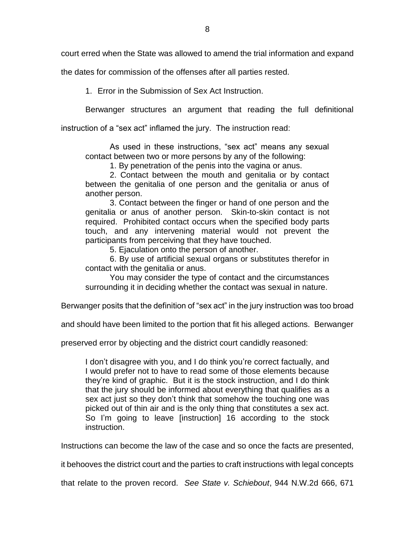court erred when the State was allowed to amend the trial information and expand

the dates for commission of the offenses after all parties rested.

1. Error in the Submission of Sex Act Instruction.

Berwanger structures an argument that reading the full definitional

instruction of a "sex act" inflamed the jury. The instruction read:

As used in these instructions, "sex act" means any sexual contact between two or more persons by any of the following:

1. By penetration of the penis into the vagina or anus.

2. Contact between the mouth and genitalia or by contact between the genitalia of one person and the genitalia or anus of another person.

3. Contact between the finger or hand of one person and the genitalia or anus of another person. Skin-to-skin contact is not required. Prohibited contact occurs when the specified body parts touch, and any intervening material would not prevent the participants from perceiving that they have touched.

5. Ejaculation onto the person of another.

6. By use of artificial sexual organs or substitutes therefor in contact with the genitalia or anus.

You may consider the type of contact and the circumstances surrounding it in deciding whether the contact was sexual in nature.

Berwanger posits that the definition of "sex act" in the jury instruction was too broad

and should have been limited to the portion that fit his alleged actions. Berwanger

preserved error by objecting and the district court candidly reasoned:

I don't disagree with you, and I do think you're correct factually, and I would prefer not to have to read some of those elements because they're kind of graphic. But it is the stock instruction, and I do think that the jury should be informed about everything that qualifies as a sex act just so they don't think that somehow the touching one was picked out of thin air and is the only thing that constitutes a sex act. So I'm going to leave [instruction] 16 according to the stock instruction.

Instructions can become the law of the case and so once the facts are presented,

it behooves the district court and the parties to craft instructions with legal concepts

that relate to the proven record. *See State v. Schiebout*, 944 N.W.2d 666, 671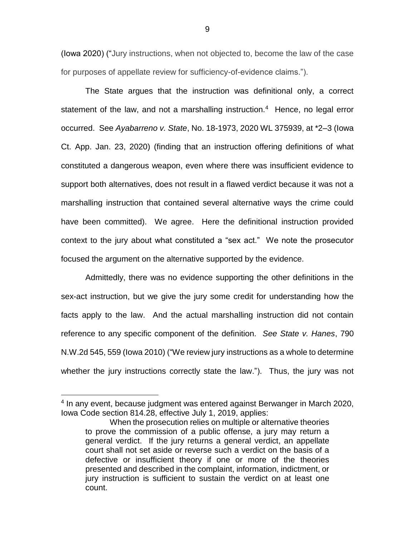(Iowa 2020) ("Jury instructions, when not objected to, become the law of the case for purposes of appellate review for sufficiency-of-evidence claims.").

The State argues that the instruction was definitional only, a correct statement of the law, and not a marshalling instruction.<sup>4</sup> Hence, no legal error occurred. See *Ayabarreno v. State*, No. 18-1973, 2020 WL 375939, at \*2–3 (Iowa Ct. App. Jan. 23, 2020) (finding that an instruction offering definitions of what constituted a dangerous weapon, even where there was insufficient evidence to support both alternatives, does not result in a flawed verdict because it was not a marshalling instruction that contained several alternative ways the crime could have been committed). We agree. Here the definitional instruction provided context to the jury about what constituted a "sex act." We note the prosecutor focused the argument on the alternative supported by the evidence.

Admittedly, there was no evidence supporting the other definitions in the sex-act instruction, but we give the jury some credit for understanding how the facts apply to the law. And the actual marshalling instruction did not contain reference to any specific component of the definition. *See State v. Hanes*, 790 N.W.2d 545, 559 (Iowa 2010) ("We review jury instructions as a whole to determine whether the jury instructions correctly state the law."). Thus, the jury was not

<sup>4</sup> In any event, because judgment was entered against Berwanger in March 2020, Iowa Code section 814.28, effective July 1, 2019, applies:

When the prosecution relies on multiple or alternative theories to prove the commission of a public offense, a jury may return a general verdict. If the jury returns a general verdict, an appellate court shall not set aside or reverse such a verdict on the basis of a defective or insufficient theory if one or more of the theories presented and described in the complaint, information, indictment, or jury instruction is sufficient to sustain the verdict on at least one count.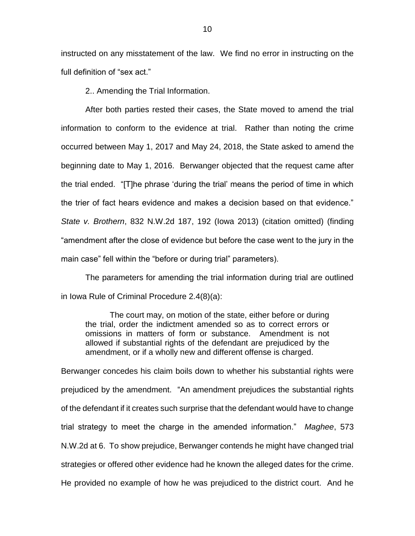instructed on any misstatement of the law. We find no error in instructing on the full definition of "sex act."

2.. Amending the Trial Information.

After both parties rested their cases, the State moved to amend the trial information to conform to the evidence at trial. Rather than noting the crime occurred between May 1, 2017 and May 24, 2018, the State asked to amend the beginning date to May 1, 2016. Berwanger objected that the request came after the trial ended. "[T]he phrase 'during the trial' means the period of time in which the trier of fact hears evidence and makes a decision based on that evidence." *State v. Brothern*, 832 N.W.2d 187, 192 (Iowa 2013) (citation omitted) (finding "amendment after the close of evidence but before the case went to the jury in the main case" fell within the "before or during trial" parameters).

The parameters for amending the trial information during trial are outlined in Iowa Rule of Criminal Procedure 2.4(8)(a):

The court may, on motion of the state, either before or during the trial, order the indictment amended so as to correct errors or omissions in matters of form or substance. Amendment is not allowed if substantial rights of the defendant are prejudiced by the amendment, or if a wholly new and different offense is charged.

Berwanger concedes his claim boils down to whether his substantial rights were prejudiced by the amendment. "An amendment prejudices the substantial rights of the defendant if it creates such surprise that the defendant would have to change trial strategy to meet the charge in the amended information." *Maghee*, 573 N.W.2d at 6. To show prejudice, Berwanger contends he might have changed trial strategies or offered other evidence had he known the alleged dates for the crime. He provided no example of how he was prejudiced to the district court. And he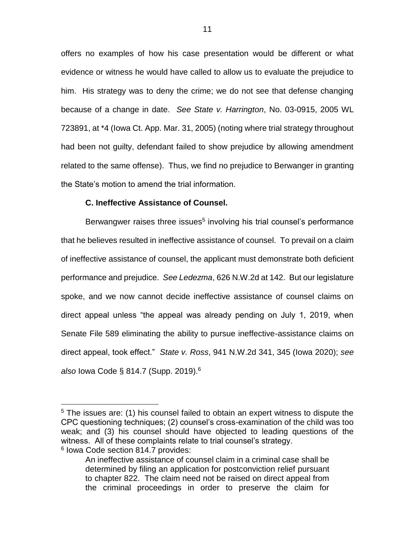offers no examples of how his case presentation would be different or what evidence or witness he would have called to allow us to evaluate the prejudice to him. His strategy was to deny the crime; we do not see that defense changing because of a change in date. *See State v. Harrington*, No. 03-0915, 2005 WL 723891, at \*4 (Iowa Ct. App. Mar. 31, 2005) (noting where trial strategy throughout had been not guilty, defendant failed to show prejudice by allowing amendment related to the same offense). Thus, we find no prejudice to Berwanger in granting the State's motion to amend the trial information.

## **C. Ineffective Assistance of Counsel.**

Berwangwer raises three issues<sup>5</sup> involving his trial counsel's performance that he believes resulted in ineffective assistance of counsel. To prevail on a claim of ineffective assistance of counsel, the applicant must demonstrate both deficient performance and prejudice. *See Ledezma*, 626 N.W.2d at 142. But our legislature spoke, and we now cannot decide ineffective assistance of counsel claims on direct appeal unless "the appeal was already pending on July 1, 2019, when Senate File 589 eliminating the ability to pursue ineffective-assistance claims on direct appeal, took effect." *State v. Ross*, 941 N.W.2d 341, 345 (Iowa 2020); *see also* Iowa Code § 814.7 (Supp. 2019).<sup>6</sup>

<sup>&</sup>lt;sup>5</sup> The issues are: (1) his counsel failed to obtain an expert witness to dispute the CPC questioning techniques; (2) counsel's cross-examination of the child was too weak; and (3) his counsel should have objected to leading questions of the witness. All of these complaints relate to trial counsel's strategy.

<sup>6</sup> Iowa Code section 814.7 provides:

An ineffective assistance of counsel claim in a criminal case shall be determined by filing an application for postconviction relief pursuant to chapter 822. The claim need not be raised on direct appeal from the criminal proceedings in order to preserve the claim for